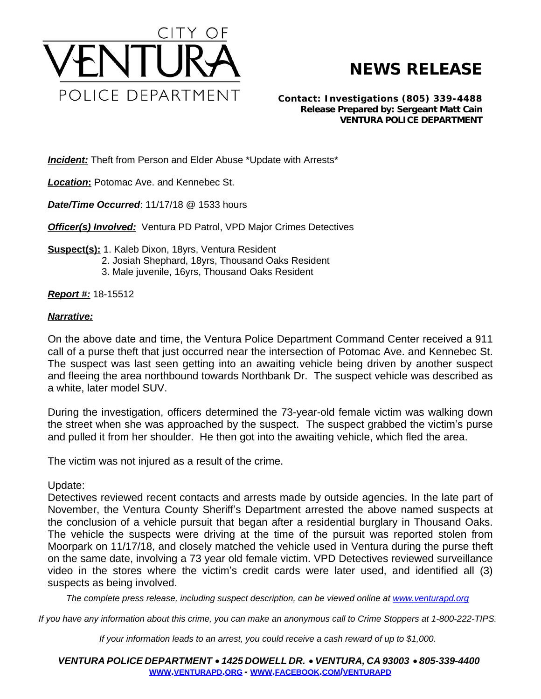

## **NEWS RELEASE**

*Contact: Investigations (805) 339-4488 Release Prepared by: Sergeant Matt Cain* **VENTURA POLICE DEPARTMENT**

**Incident:** Theft from Person and Elder Abuse \*Update with Arrests\*

*Location***:** Potomac Ave. and Kennebec St.

*Date/Time Occurred*: 11/17/18 @ 1533 hours

**Officer(s) Involved:** Ventura PD Patrol, VPD Major Crimes Detectives

**Suspect(s):** 1. Kaleb Dixon, 18yrs, Ventura Resident 2. Josiah Shephard, 18yrs, Thousand Oaks Resident 3. Male juvenile, 16yrs, Thousand Oaks Resident

*Report #:* 18-15512

## *Narrative:*

On the above date and time, the Ventura Police Department Command Center received a 911 call of a purse theft that just occurred near the intersection of Potomac Ave. and Kennebec St. The suspect was last seen getting into an awaiting vehicle being driven by another suspect and fleeing the area northbound towards Northbank Dr. The suspect vehicle was described as a white, later model SUV.

During the investigation, officers determined the 73-year-old female victim was walking down the street when she was approached by the suspect. The suspect grabbed the victim's purse and pulled it from her shoulder. He then got into the awaiting vehicle, which fled the area.

The victim was not injured as a result of the crime.

Update:

Detectives reviewed recent contacts and arrests made by outside agencies. In the late part of November, the Ventura County Sheriff's Department arrested the above named suspects at the conclusion of a vehicle pursuit that began after a residential burglary in Thousand Oaks. The vehicle the suspects were driving at the time of the pursuit was reported stolen from Moorpark on 11/17/18, and closely matched the vehicle used in Ventura during the purse theft on the same date, involving a 73 year old female victim. VPD Detectives reviewed surveillance video in the stores where the victim's credit cards were later used, and identified all (3) suspects as being involved.

The complete press release, including suspect description, can be viewed online at [www.venturapd.org](http://www.venturapd.org)

*If you have any information about this crime, you can make an anonymous call to Crime Stoppers at 1-800-222-TIPS.*

*If your information leads to an arrest, you could receive a cash reward of up to \$1,000.*

*VENTURA POLICE DEPARTMENT* · *1425 DOWELL DR.* · *VENTURA, CA 93003* · *805-339-4400* **WWW.[VENTURAPD](http://www.venturapd.org).ORG** *-* **WWW.FACEBOOK.COM/[VENTURAPD](http://www.facebook.com/venturapd)**